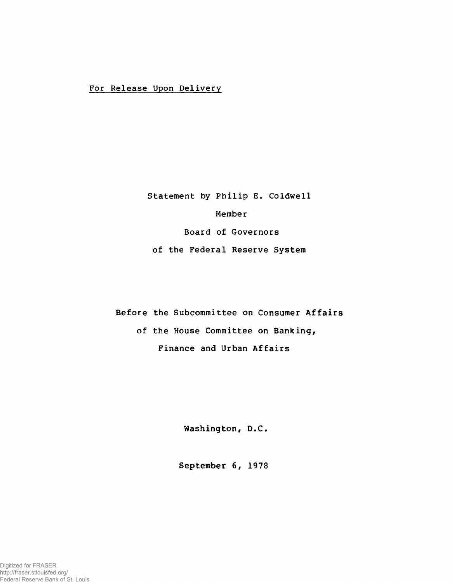## For Release Upon Delivery

Statement by Philip E. Coldwell

Member

Board of Governors

of the Federal Reserve System

Before the Subcommittee on Consumer Affairs

of the House Committee on Banking, Finance and Urban Affairs

Washington, D.C.

September 6, 1978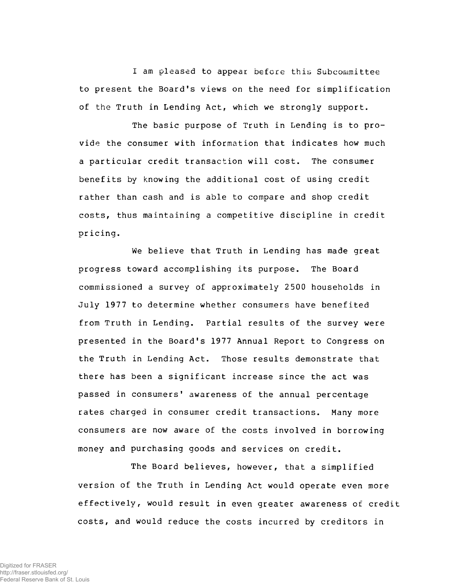I am pleased to appear before this Subcommittee to present the Board's views on the need for simplification of the Truth in Lending Act, which we strongly support.

The basic purpose of Truth in Lending is to provide the consumer with information that indicates how much a particular credit transaction will cost. The consumer benefits by knowing the additional cost of using credit rather than cash and is able to compare and shop credit costs, thus maintaining a competitive discipline in credit **pricing.**

We believe that Truth in Lending has made great progress toward accomplishing its purpose. The Board commissioned a survey of approximately 2500 households in July 1977 to determine whether consumers have benefited from Truth in Lending. Partial results of the survey were presented in the Board's 1977 Annual Report to Congress on the Truth in Lending Act. Those results demonstrate that there has been a significant increase since the act was passed in consumers' awareness of the annual percentage rates charged in consumer credit transactions. Many more consumers are now aware of the costs involved in borrowing money and purchasing goods and services on credit.

The Board believes, however, that a simplified version of the Truth in Lending Act would operate even more effectively, would result in even greater awareness of credit costs, and would reduce the costs incurred by creditors in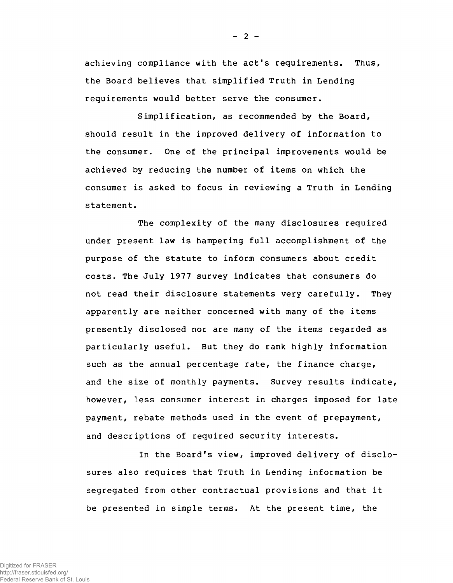achieving compliance with the act's requirements. Thus, the Board believes that simplified Truth in Lending requirements would better serve the consumer.

Simplification, as recommended by the Board, should result in the improved delivery of information to the consumer. One of the principal improvements would be achieved by reducing the number of items on which the consumer is asked to focus in reviewing a Truth in Lending statement.

The complexity of the many disclosures required under present law is hampering full accomplishment of the purpose of the statute to inform consumers about credit costs. The July 1977 survey indicates that consumers do not read their disclosure statements very carefully. They apparently are neither concerned with many of the items presently disclosed nor are many of the items regarded as particularly useful. But they do rank highly information such as the annual percentage rate, the finance charge, and the size of monthly payments. Survey results indicate, however, less consumer interest in charges imposed for late payment, rebate methods used in the event of prepayment, and descriptions of required security interests.

In the Board's view, improved delivery of disclosures also requires that Truth in Lending information be segregated from other contractual provisions and that it be presented in simple terms. At the present time, the

Digitized for FRASER http://fraser.stlouisfed.org/ Federal Reserve Bank of St. Louis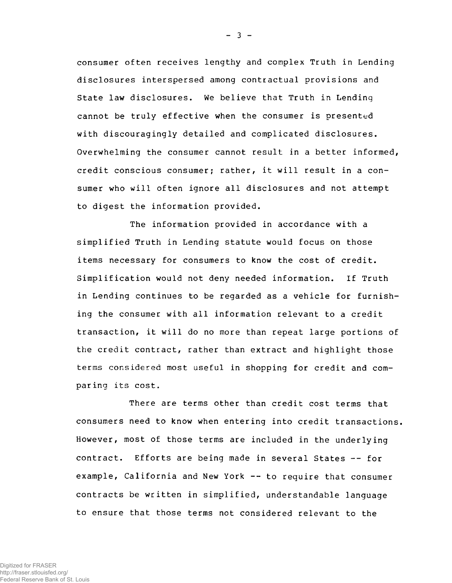consumer often receives lengthy and complex Truth in Lending disclosures interspersed among contractual provisions and State law disclosures. We believe that Truth in Lending cannot be truly effective when the consumer is presented with discouragingly detailed and complicated disclosures. Overwhelming the consumer cannot result in a better informed, credit conscious consumer; rather, it will result in a consumer who will often ignore all disclosures and not attempt to digest the information provided.

The information provided in accordance with a simplified Truth in Lending statute would focus on those items necessary for consumers to know the cost of credit. Simplification would not deny needed information. If Truth in Lending continues to be regarded as a vehicle for furnishing the consumer with all information relevant to a credit transaction, it will do no more than repeat large portions of the credit contract, rather than extract and highlight those terms considered most useful in shopping for credit and comparing its cost.

There are terms other than credit cost terms that consumers need to know when entering into credit transactions. However, most of those terms are included in the underlying contract. Efforts are being made in several States -- for example, California and New York -- to require that consumer contracts be written in simplified, understandable language to ensure that those terms not considered relevant to the

 $- 3 -$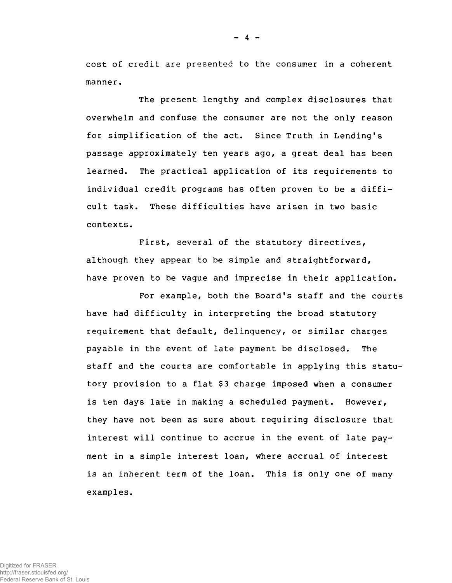cost of credit are presented to the consumer in a coherent manner.

The present lengthy and complex disclosures that overwhelm and confuse the consumer are not the only reason for simplification of the act. Since Truth in Lending's passage approximately ten years ago, a great deal has been learned. The practical application of its requirements to individual credit programs has often proven to be a difficult task. These difficulties have arisen in two basic contexts.

First, several of the statutory directives, although they appear to be simple and straightforward, have proven to be vague and imprecise in their application.

For example, both the Board's staff and the courts have had difficulty in interpreting the broad statutory requirement that default, delinquency, or similar charges payable in the event of late payment be disclosed. The staff and the courts are comfortable in applying this statutory provision to a flat \$3 charge imposed when a consumer is ten days late in making a scheduled payment. However, they have not been as sure about requiring disclosure that interest will continue to accrue in the event of late payment in a simple interest loan, where accrual of interest is an inherent term of the loan. This is only one of many examples.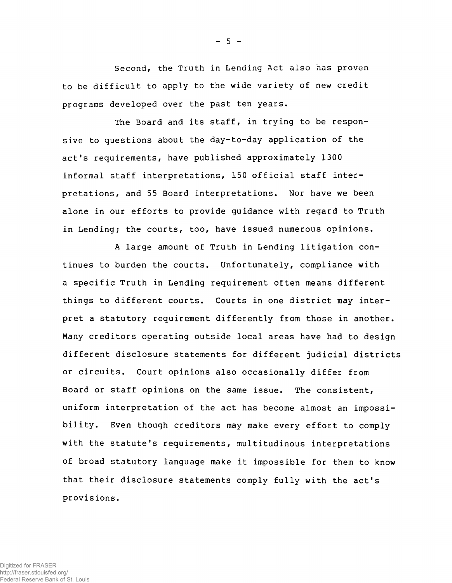Second, the Truth in Lending Act also has proven to be difficult to apply to the wide variety of new credit programs developed over the past ten years.

The Board and its staff, in trying to be responsive to questions about the day-to-day application of the act's requirements, have published approximately 1300 informal staff interpretations, 150 official staff interpretations, and 55 Board interpretations. Nor have we been alone in our efforts to provide guidance with regard to Truth in Lending; the courts, too, have issued numerous opinions.

A large amount of Truth in Lending litigation continues to burden the courts. Unfortunately, compliance with a specific Truth in Lending requirement often means different things to different courts. Courts in one district may interpret a statutory requirement differently from those in another. Many creditors operating outside local areas have had to design different disclosure statements for different judicial districts or circuits. Court opinions also occasionally differ from Board or staff opinions on the same issue. The consistent, uniform interpretation of the act has become almost an impossibility. Even though creditors may make every effort to comply with the statute's requirements, multitudinous interpretations of broad statutory language make it impossible for them to know that their disclosure statements comply fully with the act's provisions.

 $-5 -$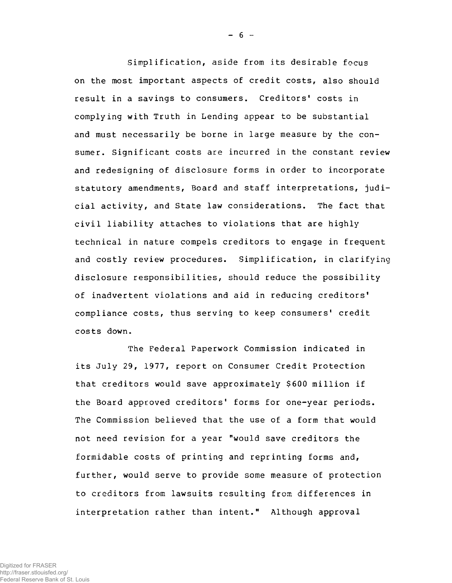Simplification, aside from its desirable focus on the most important aspects of credit costs, also should result in a savings to consumers. Creditors' costs in complying with Truth in Lending appear to be substantial and must necessarily be borne in large measure by the consumer. Significant costs are incurred in the constant review and redesigning of disclosure forms in order to incorporate statutory amendments, Board and staff interpretations, judicial activity, and State law considerations. The fact that civil liability attaches to violations that are highly technical in nature compels creditors to engage in frequent and costly review procedures. Simplification, in clarifying disclosure responsibilities, should reduce the possibility of inadvertent violations and aid in reducing creditors' compliance costs, thus serving to keep consumers' credit costs down.

The Federal Paperwork Commission indicated in its July 29, 1977, report on Consumer Credit Protection that creditors would save approximately \$600 million if the Board approved creditors' forms for one-year periods. The Commission believed that the use of a form that would not need revision for a year "would save creditors the formidable costs of printing and reprinting forms and, further, would serve to provide some measure of protection to creditors from lawsuits resulting from differences in interpretation rather than intent." Although approval

 $- 6 -$